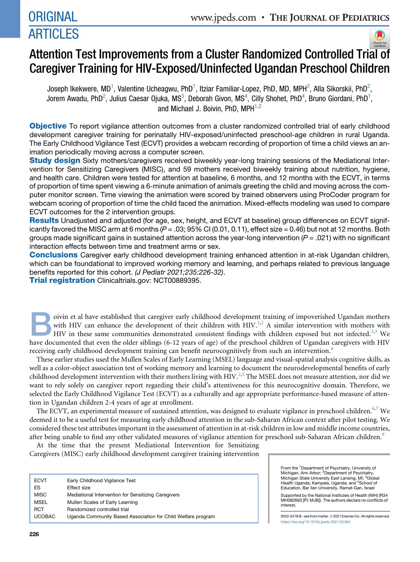

# Attention Test Improvements from a Cluster Randomized Controlled Tri[al](http://crossmark.crossref.org/dialog/?doi=10.1016/j.jpeds.2021.03.064&domain=pdf) [of](http://crossmark.crossref.org/dialog/?doi=10.1016/j.jpeds.2021.03.064&domain=pdf) Caregiver Training for HIV-Exposed/Uninfected Ugandan Preschool Children

Joseph Ikekwere, MD<sup>1</sup>, Valentine Ucheagwu, PhD<sup>1</sup>, Itziar Familiar-Lopez, PhD, MD, MPH<sup>2</sup>, Alla Sikorskii, PhD<sup>2</sup>, Jorem Awadu, PhD<sup>2</sup>, Julius Caesar Ojuka, MS<sup>3</sup>, Deborah Givon, MS<sup>4</sup>, Cilly Shohet, PhD<sup>4</sup>, Bruno Giordani, PhD<sup>1</sup>, and Michael J. Boivin, PhD,  $MPH^{1,2}$ 

Objective To report vigilance attention outcomes from a cluster randomized controlled trial of early childhood development caregiver training for perinatally HIV-exposed/uninfected preschool-age children in rural Uganda. The Early Childhood Vigilance Test (ECVT) provides a webcam recording of proportion of time a child views an animation periodically moving across a computer screen.

**Study design** Sixty mothers/caregivers received biweekly year-long training sessions of the Mediational Intervention for Sensitizing Caregivers (MISC), and 59 mothers received biweekly training about nutrition, hygiene, and health care. Children were tested for attention at baseline, 6 months, and 12 months with the ECVT, in terms of proportion of time spent viewing a 6-minute animation of animals greeting the child and moving across the computer monitor screen. Time viewing the animation were scored by trained observers using ProCoder program for webcam scoring of proportion of time the child faced the animation. Mixed-effects modeling was used to compare ECVT outcomes for the 2 intervention groups.

Results Unadjusted and adjusted (for age, sex, height, and ECVT at baseline) group differences on ECVT significantly favored the MISC arm at 6 months ( $P = .03$ ; 95% CI (0.01, 0.11), effect size = 0.46) but not at 12 months. Both groups made significant gains in sustained attention across the year-long intervention (*P* = .021) with no significant interaction effects between time and treatment arms or sex.

**Conclusions** Caregiver early childhood development training enhanced attention in at-risk Ugandan children, which can be foundational to improved working memory and learning, and perhaps related to previous language benefits reported for this cohort. *(J Pediatr 2021;235:226-32)*.

**Trial registration** Clinicaltrials.gov: NCT00889395.

oivin et al have established that caregiver early childhood development training of impoverished Ugandan mothers<br>with HIV can enhance the development of their children with HIV.<sup>1,2</sup> A similar intervention with mothers wi with HIV can enhance the development of their children with HIV.<sup>[1,](#page-5-0)[2](#page-5-1)</sup> A similar intervention with mothers with HIV in these same communities demonstrated consistent findings with children exposed but not infected.<sup>[2](#page-5-1)[,3](#page-5-2)</sup> We have documented that even the older siblings (6-12 years of age) of the preschool children of Ugandan caregivers with HIV receiving early childhood development training can benefit neurocognitively from such an intervention.<sup>[4](#page-5-3)</sup>

These earlier studies used the Mullen Scales of Early Learning (MSEL) language and visual-spatial analysis cognitive skills, as well as a color-object association test of working memory and learning to document the neurodevelopmental benefits of early childhood development intervention with their mothers living with HIV.<sup>[2](#page-5-1),[5](#page-6-0)</sup> The MSEL does not measure attention, nor did we want to rely solely on caregiver report regarding their child's attentiveness for this neurocognitive domain. Therefore, we selected the Early Childhood Vigilance Test (ECVT) as a culturally and age appropriate performance-based measure of attention in Ugandan children 2-4 years of age at enrollment.

The ECVT, an experimental measure of sustained attention, was designed to evaluate vigilance in preschool children.<sup>[6,](#page-6-1)[7](#page-6-2)</sup> We deemed it to be a useful test for measuring early childhood attention in the sub-Saharan African context after pilot testing. We considered these test attributes important in the assessment of attention in at-risk children in low and middle income countries, after being unable to find any other validated measures of vigilance attention for preschool sub-Saharan African children.<sup>[8](#page-6-3)</sup>

At the time that the present Mediational Intervention for Sensitizing Caregivers (MISC) early childhood development caregiver training intervention

| <b>ECVT</b>   | Early Childhood Vigilance Test                               |
|---------------|--------------------------------------------------------------|
| ES            | <b>Effect size</b>                                           |
| <b>MISC</b>   | Mediational Intervention for Sensitizing Caregivers          |
| <b>MSEL</b>   | Mullen Scales of Early Learning                              |
| <b>RCT</b>    | Randomized controlled trial                                  |
| <b>UCOBAC</b> | Uganda Community Based Association for Child Welfare program |

From the <sup>1</sup>Department of Psychiatry, University of Michigan, Ann Arbor; <sup>2</sup>Department of Psychiatry,<br>Michigan State University East Lansing, MI; <sup>3</sup>Global Health Uganda, Kampala, Uganda; and <sup>4</sup>School of Education, Bar Ilan University, Ramat-Gan, Israel Supported by the National Institutes of Health (NIH) (R34 MH082663 [PI: MJB]). The authors declare no conflicts of interest.

0022-3476/\$ - see front matter. © 2021 Elsevier Inc. All rights reserved. <https://doi.org/10.1016/j.jpeds.2021.03.064>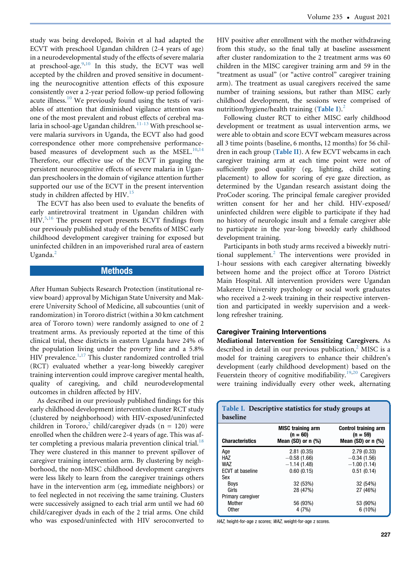study was being developed, Boivin et al had adapted the ECVT with preschool Ugandan children (2-4 years of age) in a neurodevelopmental study of the effects of severe malaria at preschool-age.<sup>9,[10](#page-6-5)</sup> In this study, the ECVT was well accepted by the children and proved sensitive in documenting the neurocognitive attention effects of this exposure consistently over a 2-year period follow-up period following acute illness.<sup>[10](#page-6-5)</sup> We previously found using the tests of variables of attention that diminished vigilance attention was one of the most prevalent and robust effects of cerebral malaria in school-age Ugandan children.<sup>11-13</sup> With preschool severe malaria survivors in Uganda, the ECVT also had good correspondence other more comprehensive performancebased measures of development such as the MSEL. $^{10,14}$  $^{10,14}$  $^{10,14}$  $^{10,14}$ Therefore, our effective use of the ECVT in gauging the persistent neurocognitive effects of severe malaria in Ugandan preschoolers in the domain of vigilance attention further supported our use of the ECVT in the present intervention study in children affected by  $HIV.<sup>15</sup>$  $HIV.<sup>15</sup>$  $HIV.<sup>15</sup>$ 

The ECVT has also been used to evaluate the benefits of early antiretroviral treatment in Ugandan children with HIV.[5](#page-6-0)[,16](#page-6-9) The present report presents ECVT findings from our previously published study of the benefits of MISC early childhood development caregiver training for exposed but uninfected children in an impoverished rural area of eastern Uganda. $^{2}$  $^{2}$  $^{2}$ 

# **Methods**

After Human Subjects Research Protection (institutional review board) approval by Michigan State University and Makerere University School of Medicine, all subcounties (unit of randomization) in Tororo district (within a 30 km catchment area of Tororo town) were randomly assigned to one of 2 treatment arms. As previously reported at the time of this clinical trial, these districts in eastern Uganda have 24% of the population living under the poverty line and a 5.8% HIV prevalence.<sup>[1,](#page-5-0)[17](#page-6-10)</sup> This cluster randomized controlled trial (RCT) evaluated whether a year-long biweekly caregiver training intervention could improve caregiver mental health, quality of caregiving, and child neurodevelopmental outcomes in children affected by HIV.

As described in our previously published findings for this early childhood development intervention cluster RCT study (clustered by neighborhood) with HIV-exposed/uninfected children in Tororo,<sup>[2](#page-5-1)</sup> child/caregiver dyads (n = 120) were enrolled when the children were 2-4 years of age. This was after completing a previous malaria prevention clinical trial. $18$ They were clustered in this manner to prevent spillover of caregiver training intervention arm. By clustering by neighborhood, the non-MISC childhood development caregivers were less likely to learn from the caregiver trainings others have in the intervention arm (eg, immediate neighbors) or to feel neglected in not receiving the same training. Clusters were successively assigned to each trial arm until we had 60 child/caregiver dyads in each of the 2 trial arms. One child who was exposed/uninfected with HIV seroconverted to HIV positive after enrollment with the mother withdrawing from this study, so the final tally at baseline assessment after cluster randomization to the 2 treatment arms was 60 children in the MISC caregiver training arm and 59 in the "treatment as usual" (or "active control" caregiver training arm). The treatment as usual caregivers received the same number of training sessions, but rather than MISC early childhood development, the sessions were comprised of nutrition/hygiene/health training  $(Table I)^2$  $(Table I)^2$  $(Table I)^2$  $(Table I)^2$ .

Following cluster RCT to either MISC early childhood development or treatment as usual intervention arms, we were able to obtain and score ECVT webcam measures across all 3 time points (baseline, 6 months, 12 months) for 56 chil-dren in each group ([Table II](#page-2-0)). A few ECVT webcams in each caregiver training arm at each time point were not of sufficiently good quality (eg, lighting, child seating placement) to allow for scoring of eye gaze direction, as determined by the Ugandan research assistant doing the ProCoder scoring. The principal female caregiver provided written consent for her and her child. HIV-exposed/ uninfected children were eligible to participate if they had no history of neurologic insult and a female caregiver able to participate in the year-long biweekly early childhood development training.

Participants in both study arms received a biweekly nutri-tional supplement.<sup>[2](#page-5-1)</sup> The interventions were provided in 1-hour sessions with each caregiver alternating biweekly between home and the project office at Tororo District Main Hospital. All intervention providers were Ugandan Makerere University psychology or social work graduates who received a 2-week training in their respective intervention and participated in weekly supervision and a weeklong refresher training.

**Caregiver Training Interventions**<br>Mediational Intervention for Sensitizing Caregivers. As described in detail in our previous publication, $<sup>2</sup>$  $<sup>2</sup>$  $<sup>2</sup>$  MISC is a</sup> model for training caregivers to enhance their children's development (early childhood development) based on the Feuerstein theory of cognitive modifiability.<sup>[19,](#page-6-12)[20](#page-6-13)</sup> Caregivers were training individually every other week, alternating

<span id="page-1-0"></span>

| Table I. Descriptive statistics for study groups at<br>baseline |                                                                   |                                                                      |  |  |  |  |  |  |
|-----------------------------------------------------------------|-------------------------------------------------------------------|----------------------------------------------------------------------|--|--|--|--|--|--|
| <b>Characteristics</b>                                          | <b>MISC training arm</b><br>$(n = 60)$<br>Mean $(SD)$ or n $(\%)$ | <b>Control training arm</b><br>$(n = 59)$<br>Mean $(SD)$ or n $(\%)$ |  |  |  |  |  |  |
| Age                                                             | 2.81(0.35)                                                        | 2.79(0.33)                                                           |  |  |  |  |  |  |
| HA7                                                             | $-0.58(1.66)$                                                     | $-0.34(1.56)$                                                        |  |  |  |  |  |  |
| WA7                                                             | $-1.14(1.48)$                                                     | $-1.00(1.14)$                                                        |  |  |  |  |  |  |
| <b>ECVT</b> at baseline                                         | 0.60(0.15)                                                        | 0.51(0.14)                                                           |  |  |  |  |  |  |
| Sex                                                             |                                                                   |                                                                      |  |  |  |  |  |  |
| Boys                                                            | 32 (53%)                                                          | 32 (54%)                                                             |  |  |  |  |  |  |
| Girls                                                           | 28 (47%)                                                          | 27 (46%)                                                             |  |  |  |  |  |  |
| Primary caregiver                                               |                                                                   |                                                                      |  |  |  |  |  |  |
| Mother                                                          | 56 (93%)                                                          | 53 (90%)                                                             |  |  |  |  |  |  |
| <b>Other</b>                                                    | 4(7%)                                                             | $6(10\%)$                                                            |  |  |  |  |  |  |

HAZ, height-for-age z scores; WAZ, weight-for-age z scores.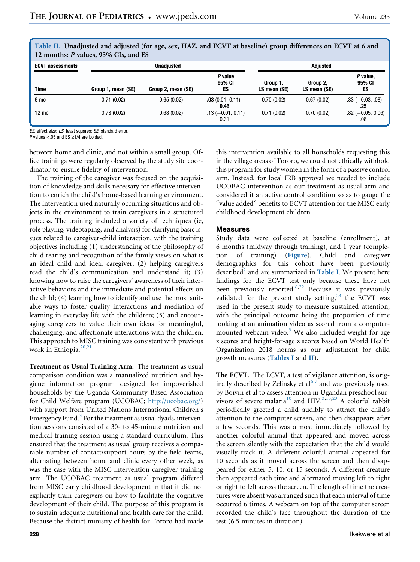| 12 months: P values, 95% CIs, and ES |                    |                    |                             |                          |                          |                            |  |  |  |
|--------------------------------------|--------------------|--------------------|-----------------------------|--------------------------|--------------------------|----------------------------|--|--|--|
| <b>ECVT assessments</b>              | <b>Unadiusted</b>  |                    |                             | <b>Adiusted</b>          |                          |                            |  |  |  |
| <b>Time</b>                          | Group 1, mean (SE) | Group 2, mean (SE) | P value<br>95% CI<br>ES     | Group 1,<br>LS mean (SE) | Group 2.<br>LS mean (SE) | P value,<br>95% CI<br>ES   |  |  |  |
| 6 mo                                 | 0.71(0.02)         | 0.65(0.02)         | .03(0.01, 0.11)<br>0.46     | 0.70(0.02)               | 0.67(0.02)               | $.33 (-0.03, .08)$<br>.25  |  |  |  |
| $12 \text{ mo}$                      | 0.73(0.02)         | 0.68(0.02)         | $.13 (-0.01, 0.11)$<br>0.31 | 0.71(0.02)               | 0.70(0.02)               | $.82 (-0.05, 0.06)$<br>.08 |  |  |  |

<span id="page-2-0"></span>Table II. Unadjusted and adjusted (for age, sex, HAZ, and ECVT at baseline) group differences on ECVT at 6 and 12 months: P values, 95% CIs, and ES

ES, effect size; LS, least squares; SE, standard error.

P values <.05 and ES  $\geq$ 1/4 are bolded.

between home and clinic, and not within a small group. Office trainings were regularly observed by the study site coordinator to ensure fidelity of intervention.

The training of the caregiver was focused on the acquisition of knowledge and skills necessary for effective intervention to enrich the child's home-based learning environment. The intervention used naturally occurring situations and objects in the environment to train caregivers in a structured process. The training included a variety of techniques (ie, role playing, videotaping, and analysis) for clarifying basic issues related to caregiver-child interaction, with the training objectives including (1) understanding of the philosophy of child rearing and recognition of the family views on what is an ideal child and ideal caregiver; (2) helping caregivers read the child's communication and understand it; (3) knowing how to raise the caregivers' awareness of their interactive behaviors and the immediate and potential effects on the child; (4) learning how to identify and use the most suitable ways to foster quality interactions and mediation of learning in everyday life with the children; (5) and encouraging caregivers to value their own ideas for meaningful, challenging, and affectionate interactions with the children. This approach to MISC training was consistent with previous work in Ethiopia. $20,21$  $20,21$ 

Treatment as Usual Training Arm. The treatment as usual comparison condition was a manualized nutrition and hygiene information program designed for impoverished households by the Uganda Community Based Association for Child Welfare program (UCOBAC; <http://ucobac.org/>) with support from United Nations International Children's Emergency Fund.<sup>[3](#page-5-2)</sup> For the treatment as usual dyads, intervention sessions consisted of a 30- to 45-minute nutrition and medical training session using a standard curriculum. This ensured that the treatment as usual group receives a comparable number of contact/support hours by the field teams, alternating between home and clinic every other week, as was the case with the MISC intervention caregiver training arm. The UCOBAC treatment as usual program differed from MISC early childhood development in that it did not explicitly train caregivers on how to facilitate the cognitive development of their child. The purpose of this program is to sustain adequate nutritional and health care for the child. Because the district ministry of health for Tororo had made

this intervention available to all households requesting this in the village areas of Tororo, we could not ethically withhold this program for study women in the form of a passive control arm. Instead, for local IRB approval we needed to include UCOBAC intervention as our treatment as usual arm and considered it an active control condition so as to gauge the "value added" benefits to ECVT attention for the MISC early childhood development children.

### **Measures**

Measures Study data were collected at baseline (enrollment), at 6 months (midway through training), and 1 year (completion of training) ([Figure](#page-3-0)). Child and caregiver demographics for this cohort have been previously described<sup>[2](#page-5-1)</sup> and are summarized in [Table I](#page-1-0). We present here findings for the ECVT test only because these have not been previously reported.<sup>[6,](#page-6-1)[22](#page-6-15)</sup> Because it was previously validated for the present study setting, $23$  the ECVT was used in the present study to measure sustained attention, with the principal outcome being the proportion of time looking at an animation video as scored from a computermounted webcam video. $3$  We also included weight-for-age z scores and height-for-age z scores based on World Health Organization 2018 norms as our adjustment for child growth measures ([Tables I](#page-1-0) and [II](#page-2-0)).

The ECVT. The ECVT, a test of vigilance attention, is orig-inally described by Zelinsky et al<sup>[6,](#page-6-1)[7](#page-6-2)</sup> and was previously used by Boivin et al to assess attention in Ugandan preschool sur-vivors of severe malaria<sup>[10](#page-6-5)</sup> and HIV.<sup>[3](#page-5-2),[15](#page-6-8),[23](#page-6-16)</sup> A colorful rabbit periodically greeted a child audibly to attract the child's attention to the computer screen, and then disappears after a few seconds. This was almost immediately followed by another colorful animal that appeared and moved across the screen silently with the expectation that the child would visually track it. A different colorful animal appeared for 10 seconds as it moved across the screen and then disappeared for either 5, 10, or 15 seconds. A different creature then appeared each time and alternated moving left to right or right to left across the screen. The length of time the creatures were absent was arranged such that each interval of time occurred 6 times. A webcam on top of the computer screen recorded the child's face throughout the duration of the test (6.5 minutes in duration).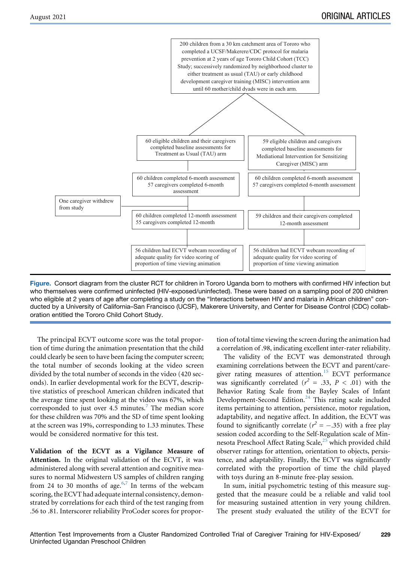<span id="page-3-0"></span>

Figure. Consort diagram from the cluster RCT for children in Tororo Uganda born to mothers with confirmed HIV infection but who themselves were confirmed uninfected (HIV-exposed/uninfected). These were based on a sampling pool of 200 children who eligible at 2 years of age after completing a study on the "Interactions between HIV and malaria in African children" conducted by a University of California–San Francisco (UCSF), Makerere University, and Center for Disease Control (CDC) collaboration entitled the Tororo Child Cohort Study.

The principal ECVT outcome score was the total proportion of time during the animation presentation that the child could clearly be seen to have been facing the computer screen; the total number of seconds looking at the video screen divided by the total number of seconds in the video (420 seconds). In earlier developmental work for the ECVT, descriptive statistics of preschool American children indicated that the average time spent looking at the video was 67%, which corresponded to just over 4.5 minutes.<sup>[7](#page-6-2)</sup> The median score for these children was 70% and the SD of time spent looking at the screen was 19%, corresponding to 1.33 minutes. These would be considered normative for this test.

Validation of the ECVT as a Vigilance Measure of Attention. In the original validation of the ECVT, it was administered along with several attention and cognitive measures to normal Midwestern US samples of children ranging from 24 to 30 months of age.<sup>[6,](#page-6-1)[7](#page-6-2)</sup> In terms of the webcam scoring, the ECVT had adequate internal consistency, demonstrated by correlations for each third of the test ranging from .56 to .81. Interscorer reliability ProCoder scores for proportion of total time viewing the screen during the animation had a correlation of .98, indicating excellent inter-rater reliability.

The validity of the ECVT was demonstrated through examining correlations between the ECVT and parent/care-giver rating measures of attention.<sup>[15](#page-6-8)</sup> ECVT performance was significantly correlated ( $r^2 = .33$ ,  $P < .01$ ) with the Behavior Rating Scale from the Bayley Scales of Infant Development-Second Edition.<sup>[24](#page-6-17)</sup> This rating scale included items pertaining to attention, persistence, motor regulation, adaptability, and negative affect. In addition, the ECVT was found to significantly correlate ( $r^2 = -.35$ ) with a free play session coded according to the Self-Regulation scale of Min-nesota Preschool Affect Rating Scale,<sup>[25](#page-6-18)</sup> which provided child observer ratings for attention, orientation to objects, persistence, and adaptability. Finally, the ECVT was significantly correlated with the proportion of time the child played with toys during an 8-minute free-play session.

In sum, initial psychometric testing of this measure suggested that the measure could be a reliable and valid tool for measuring sustained attention in very young children. The present study evaluated the utility of the ECVT for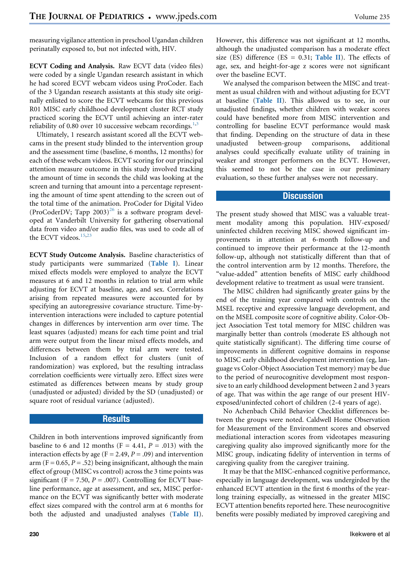measuring vigilance attention in preschool Ugandan children perinatally exposed to, but not infected with, HIV.

ECVT Coding and Analysis. Raw ECVT data (video files) were coded by a single Ugandan research assistant in which he had scored ECVT webcam videos using ProCoder. Each of the 3 Ugandan research assistants at this study site originally enlisted to score the ECVT webcams for this previous R01 MISC early childhood development cluster RCT study practiced scoring the ECVT until achieving an inter-rater reliability of 0.80 over 10 successive webcam recordings. $1,3$  $1,3$ 

Ultimately, 1 research assistant scored all the ECVT webcams in the present study blinded to the intervention group and the assessment time (baseline, 6 months, 12 months) for each of these webcam videos. ECVT scoring for our principal attention measure outcome in this study involved tracking the amount of time in seconds the child was looking at the screen and turning that amount into a percentage representing the amount of time spent attending to the screen out of the total time of the animation. ProCoder for Digital Video (ProCoderDV; Tapp 2003)<sup>[26](#page-6-19)</sup> is a software program developed at Vanderbilt University for gathering observational data from video and/or audio files, was used to code all of the ECVT videos.<sup>[15,](#page-6-8)[23](#page-6-16)</sup>

ECVT Study Outcome Analysis. Baseline characteristics of study participants were summarized ([Table I](#page-1-0)). Linear mixed effects models were employed to analyze the ECVT measures at 6 and 12 months in relation to trial arm while adjusting for ECVT at baseline, age, and sex. Correlations arising from repeated measures were accounted for by specifying an autoregressive covariance structure. Time-byintervention interactions were included to capture potential changes in differences by intervention arm over time. The least squares (adjusted) means for each time point and trial arm were output from the linear mixed effects models, and differences between them by trial arm were tested. Inclusion of a random effect for clusters (unit of randomization) was explored, but the resulting intraclass correlation coefficients were virtually zero. Effect sizes were estimated as differences between means by study group (unadjusted or adjusted) divided by the SD (unadjusted) or square root of residual variance (adjusted).

# **Results**

Children in both interventions improved significantly from baseline to 6 and 12 months ( $F = 4.41$ ,  $P = .013$ ) with the interaction effects by age ( $F = 2.49$ ,  $P = .09$ ) and intervention arm (F = 0.65, P = .52) being insignificant, although the main effect of group (MISC vs control) across the 3 time points was significant (F = 7.50,  $P = .007$ ). Controlling for ECVT baseline performance, age at assessment, and sex, MISC performance on the ECVT was significantly better with moderate effect sizes compared with the control arm at 6 months for both the adjusted and unadjusted analyses ([Table II](#page-2-0)).

However, this difference was not significant at 12 months, although the unadjusted comparison has a moderate effect size (ES) difference (ES = 0.31; [Table II](#page-2-0)). The effects of age, sex, and height-for-age z scores were not significant over the baseline ECVT.

We analysed the comparison between the MISC and treatment as usual children with and without adjusting for ECVT at baseline ([Table II](#page-2-0)). This allowed us to see, in our unadjusted findings, whether children with weaker scores could have benefited more from MISC intervention and controlling for baseline ECVT performance would mask that finding. Depending on the structure of data in these unadjusted between-group comparisons, additional analyses could specifically evaluate utility of training in weaker and stronger performers on the ECVT. However, this seemed to not be the case in our preliminary evaluation, so these further analyses were not necessary.

# Discussion

The present study showed that MISC was a valuable treatment modality among this population. HIV-exposed/ uninfected children receiving MISC showed significant improvements in attention at 6-month follow-up and continued to improve their performance at the 12-month follow-up, although not statistically different than that of the control intervention arm by 12 months. Therefore, the "value-added" attention benefits of MISC early childhood development relative to treatment as usual were transient.

The MISC children had significantly greater gains by the end of the training year compared with controls on the MSEL receptive and expressive language development, and on the MSEL composite score of cognitive ability. Color-Object Association Test total memory for MISC children was marginally better than controls (moderate ES although not quite statistically significant). The differing time course of improvements in different cognitive domains in response to MISC early childhood development intervention (eg, language vs Color-Object Association Test memory) may be due to the period of neurocognitive development most responsive to an early childhood development between 2 and 3 years of age. That was within the age range of our present HIVexposed/uninfected cohort of children (2-4 years of age).

No Achenbach Child Behavior Checklist differences between the groups were noted. Caldwell Home Observation for Measurement of the Environment scores and observed mediational interaction scores from videotapes measuring caregiving quality also improved significantly more for the MISC group, indicating fidelity of intervention in terms of caregiving quality from the caregiver training.

It may be that the MISC-enhanced cognitive performance, especially in language development, was undergirded by the enhanced ECVT attention in the first 6 months of the yearlong training especially, as witnessed in the greater MISC ECVT attention benefits reported here. These neurocognitive benefits were possibly mediated by improved caregiving and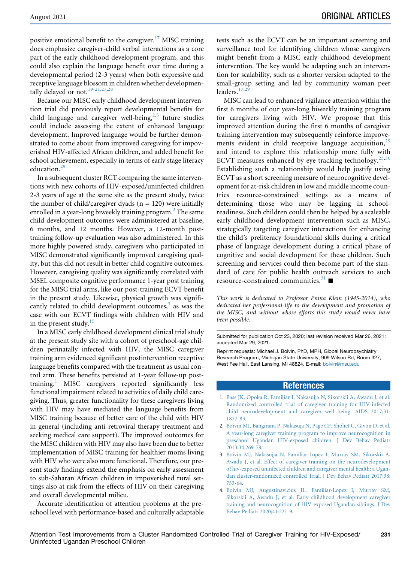positive emotional benefit to the caregiver.<sup>[17](#page-6-10)</sup> MISC training does emphasize caregiver-child verbal interactions as a core part of the early childhood development program, and this could also explain the language benefit over time during a developmental period (2-3 years) when both expressive and receptive language blossom in children whether developmen-tally delayed or not.<sup>[19-21](#page-6-12)[,27](#page-6-20)[,28](#page-6-21)</sup>

Because our MISC early childhood development intervention trial did previously report developmental benefits for child language and caregiver well-being, $2,5$  $2,5$  future studies could include assessing the extent of enhanced language development. Improved language would be further demonstrated to come about from improved caregiving for impoverished HIV-affected African children, and added benefit for school achievement, especially in terms of early stage literacy education.<sup>[29](#page-6-22)</sup>

In a subsequent cluster RCT comparing the same interventions with new cohorts of HIV-exposed/uninfected children 2-3 years of age at the same site as the present study, twice the number of child/caregiver dyads  $(n = 120)$  were initially enrolled in a year-long biweekly training program.<sup>[3](#page-5-2)</sup> The same child development outcomes were administered at baseline, 6 months, and 12 months. However, a 12-month posttraining follow-up evaluation was also administered. In this more highly powered study, caregivers who participated in MISC demonstrated significantly improved caregiving quality, but this did not result in better child cognitive outcomes. However, caregiving quality was significantly correlated with MSEL composite cognitive performance 1-year post training for the MISC trial arms, like our post-training ECVT benefit in the present study. Likewise, physical growth was significantly related to child development outcomes, $3$  as was the case with our ECVT findings with children with HIV and in the present study. $15$ 

In a MISC early childhood development clinical trial study at the present study site with a cohort of preschool-age children perinatally infected with HIV, the MISC caregiver training arm evidenced significant postintervention receptive language benefits compared with the treatment as usual control arm. These benefits persisted at 1-year follow-up posttraining.[1](#page-5-0) MISC caregivers reported significantly less functional impairment related to activities of daily child caregiving. Thus, greater functionality for these caregivers living with HIV may have mediated the language benefits from MISC training because of better care of the child with HIV in general (including anti-retroviral therapy treatment and seeking medical care support). The improved outcomes for the MISC children with HIV may also have been due to better implementation of MISC training for healthier moms living with HIV who were also more functional. Therefore, our present study findings extend the emphasis on early assessment to sub-Saharan African children in impoverished rural settings also at risk from the effects of HIV on their caregiving and overall developmental milieu.

Accurate identification of attention problems at the preschool level with performance-based and culturally adaptable

tests such as the ECVT can be an important screening and surveillance tool for identifying children whose caregivers might benefit from a MISC early childhood development intervention. The key would be adapting such an intervention for scalability, such as a shorter version adapted to the small-group setting and led by community woman peer leaders. $17,29$  $17,29$  $17,29$ 

MISC can lead to enhanced vigilance attention within the first 6 months of our year-long biweekly training program for caregivers living with HIV. We propose that this improved attention during the first 6 months of caregiver training intervention may subsequently reinforce improve-ments evident in child receptive language acquisition,<sup>[29](#page-6-22)</sup> and intend to explore this relationship more fully with ECVT measures enhanced by eye tracking technology. $^{23,30}$  $^{23,30}$  $^{23,30}$  $^{23,30}$ Establishing such a relationship would help justify using ECVT as a short screening measure of neurocognitive development for at-risk children in low and middle income countries resource-constrained settings as a means of determining those who may be lagging in schoolreadiness. Such children could then be helped by a scaleable early childhood development intervention such as MISC, strategically targeting caregiver interactions for enhancing the child's preliteracy foundational skills during a critical phase of language development during a critical phase of cognitive and social development for these children. Such screening and services could then become part of the standard of care for public health outreach services to such resource-constrained communities.<sup>[31](#page-6-24)</sup>

This work is dedicated to Professor Pnina Klein (1945-2014), who dedicated her professional life to the development and promotion of the MISC, and without whose efforts this study would never have been possible.

Submitted for publication Oct 23, 2020; last revision received Mar 26, 2021; accepted Mar 29, 2021.

Reprint requests: Michael J. Boivin, PhD, MPH, Global Neuropsychiatry Research Program, Michigan State University, 909 Wilson Rd, Room 327, West Fee Hall, East Lansing, MI 48824. E-mail: [boivin@msu.edu](mailto:boivin@msu.edu)

# References

- <span id="page-5-0"></span>1. [Bass JK, Opoka R, Familiar I, Nakasujja N, Sikorskii A, Awadu J, et al.](http://refhub.elsevier.com/S0022-3476(21)00313-9/sref1) [Randomized controlled trial of caregiver training for HIV-infected](http://refhub.elsevier.com/S0022-3476(21)00313-9/sref1) [child neurodevelopment and caregiver well being. AIDS 2017;31:](http://refhub.elsevier.com/S0022-3476(21)00313-9/sref1) [1877-83.](http://refhub.elsevier.com/S0022-3476(21)00313-9/sref1)
- <span id="page-5-1"></span>2. [Boivin MJ, Bangirana P, Nakasuja N, Page CF, Shohet C, Givon D, et al.](http://refhub.elsevier.com/S0022-3476(21)00313-9/sref2) [A year-long caregiver training program to improve neurocognition in](http://refhub.elsevier.com/S0022-3476(21)00313-9/sref2) [preschool Ugandan HIV-exposed children. J Dev Behav Pediatr](http://refhub.elsevier.com/S0022-3476(21)00313-9/sref2) [2013;34:269-78.](http://refhub.elsevier.com/S0022-3476(21)00313-9/sref2)
- <span id="page-5-2"></span>3. [Boivin MJ, Nakasujja N, Familiar-Lopez I, Murray SM, Sikorskii A,](http://refhub.elsevier.com/S0022-3476(21)00313-9/sref3) [Awadu J, et al. Effect of caregiver training on the neurodevelopment](http://refhub.elsevier.com/S0022-3476(21)00313-9/sref3) [of hiv-exposed uninfected children and caregiver mental health: a Ugan](http://refhub.elsevier.com/S0022-3476(21)00313-9/sref3)[dan cluster-randomized controlled Trial. J Dev Behav Pediatr 2017;38:](http://refhub.elsevier.com/S0022-3476(21)00313-9/sref3) [753-64](http://refhub.elsevier.com/S0022-3476(21)00313-9/sref3).
- <span id="page-5-3"></span>4. [Boivin MJ, Augustinavicius JL, Familiar-Lopez I, Murray SM,](http://refhub.elsevier.com/S0022-3476(21)00313-9/sref4) [Sikorskii A, Awadu J, et al. Early childhood development caregiver](http://refhub.elsevier.com/S0022-3476(21)00313-9/sref4) [training and neurocognition of HIV-exposed Ugandan siblings. J Dev](http://refhub.elsevier.com/S0022-3476(21)00313-9/sref4) [Behav Pediatr 2020;41:221-9.](http://refhub.elsevier.com/S0022-3476(21)00313-9/sref4)